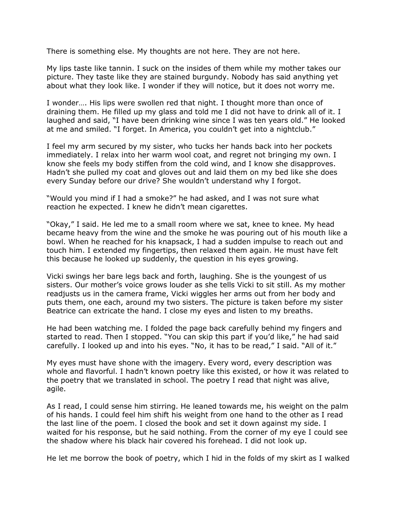There is something else. My thoughts are not here. They are not here.

My lips taste like tannin. I suck on the insides of them while my mother takes our picture. They taste like they are stained burgundy. Nobody has said anything yet about what they look like. I wonder if they will notice, but it does not worry me.

I wonder…. His lips were swollen red that night. I thought more than once of draining them. He filled up my glass and told me I did not have to drink all of it. I laughed and said, "I have been drinking wine since I was ten years old." He looked at me and smiled. "I forget. In America, you couldn't get into a nightclub."

I feel my arm secured by my sister, who tucks her hands back into her pockets immediately. I relax into her warm wool coat, and regret not bringing my own. I know she feels my body stiffen from the cold wind, and I know she disapproves. Hadn't she pulled my coat and gloves out and laid them on my bed like she does every Sunday before our drive? She wouldn't understand why I forgot.

"Would you mind if I had a smoke?" he had asked, and I was not sure what reaction he expected. I knew he didn't mean cigarettes.

"Okay," I said. He led me to a small room where we sat, knee to knee. My head became heavy from the wine and the smoke he was pouring out of his mouth like a bowl. When he reached for his knapsack, I had a sudden impulse to reach out and touch him. I extended my fingertips, then relaxed them again. He must have felt this because he looked up suddenly, the question in his eyes growing.

Vicki swings her bare legs back and forth, laughing. She is the youngest of us sisters. Our mother's voice grows louder as she tells Vicki to sit still. As my mother readjusts us in the camera frame, Vicki wiggles her arms out from her body and puts them, one each, around my two sisters. The picture is taken before my sister Beatrice can extricate the hand. I close my eyes and listen to my breaths.

He had been watching me. I folded the page back carefully behind my fingers and started to read. Then I stopped. "You can skip this part if you'd like," he had said carefully. I looked up and into his eyes. "No, it has to be read," I said. "All of it."

My eyes must have shone with the imagery. Every word, every description was whole and flavorful. I hadn't known poetry like this existed, or how it was related to the poetry that we translated in school. The poetry I read that night was alive, agile.

As I read, I could sense him stirring. He leaned towards me, his weight on the palm of his hands. I could feel him shift his weight from one hand to the other as I read the last line of the poem. I closed the book and set it down against my side. I waited for his response, but he said nothing. From the corner of my eye I could see the shadow where his black hair covered his forehead. I did not look up.

He let me borrow the book of poetry, which I hid in the folds of my skirt as I walked